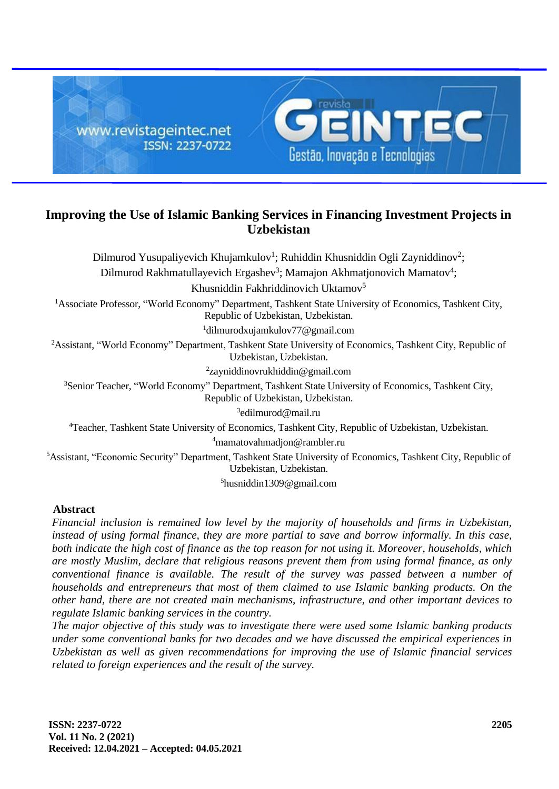

# **Improving the Use of Islamic Banking Services in Financing Investment Projects in Uzbekistan**

Dilmurod Yusupaliyevich Khujamkulov<sup>1</sup>; Ruhiddin Khusniddin Ogli Zayniddinov<sup>2</sup>; Dilmurod Rakhmatullayevich Ergashev<sup>3</sup>; Mamajon Akhmatjonovich Mamatov<sup>4</sup>; Khusniddin Fakhriddinovich Uktamov<sup>5</sup> <sup>1</sup>Associate Professor, "World Economy" Department, Tashkent State University of Economics, Tashkent City, Republic of Uzbekistan, Uzbekistan. <sup>1</sup>dilmurodxujamkulov77@gmail.com <sup>2</sup>Assistant, "World Economy" Department, Tashkent State University of Economics, Tashkent City, Republic of Uzbekistan, Uzbekistan. 2 zayniddinovrukhiddin@gmail.com <sup>3</sup>Senior Teacher, "World Economy" Department, Tashkent State University of Economics, Tashkent City, Republic of Uzbekistan, Uzbekistan. 3 edilmurod@mail.ru <sup>4</sup>Teacher, Tashkent State University of Economics, Tashkent City, Republic of Uzbekistan, Uzbekistan. <sup>4</sup>mamatovahmadjon@rambler.ru <sup>5</sup>Assistant, "Economic Security" Department, Tashkent State University of Economics, Tashkent City, Republic of Uzbekistan, Uzbekistan.

<sup>5</sup>husniddin1309@gmail.com

### **Abstract**

*Financial inclusion is remained low level by the majority of households and firms in Uzbekistan, instead of using formal finance, they are more partial to save and borrow informally. In this case, both indicate the high cost of finance as the top reason for not using it. Moreover, households, which are mostly Muslim, declare that religious reasons prevent them from using formal finance, as only conventional finance is available. The result of the survey was passed between a number of households and entrepreneurs that most of them claimed to use Islamic banking products. On the other hand, there are not created main mechanisms, infrastructure, and other important devices to regulate Islamic banking services in the country.*

*The major objective of this study was to investigate there were used some Islamic banking products under some conventional banks for two decades and we have discussed the empirical experiences in Uzbekistan as well as given recommendations for improving the use of Islamic financial services related to foreign experiences and the result of the survey.*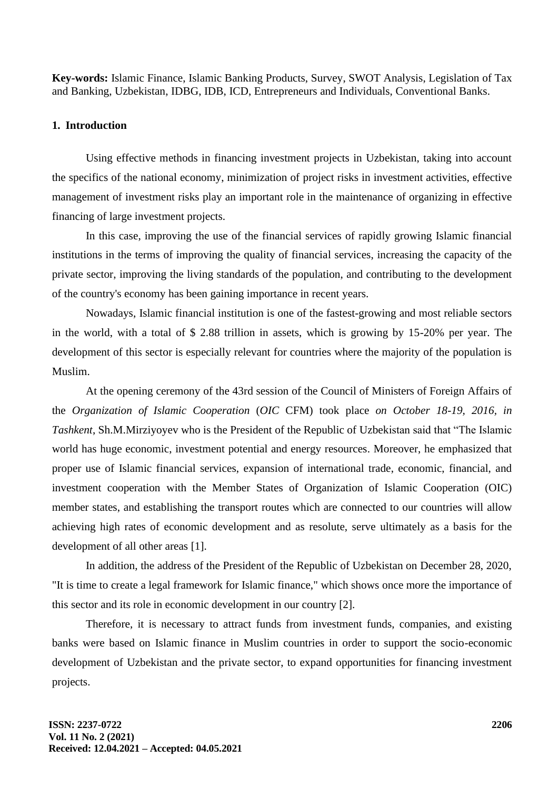**Key-words:** Islamic Finance, Islamic Banking Products, Survey, SWOT Analysis, Legislation of Tax and Banking, Uzbekistan, IDBG, IDB, ICD, Entrepreneurs and Individuals, Conventional Banks.

### **1. Introduction**

Using effective methods in financing investment projects in Uzbekistan, taking into account the specifics of the national economy, minimization of project risks in investment activities, effective management of investment risks play an important role in the maintenance of organizing in effective financing of large investment projects.

In this case, improving the use of the financial services of rapidly growing Islamic financial institutions in the terms of improving the quality of financial services, increasing the capacity of the private sector, improving the living standards of the population, and contributing to the development of the country's economy has been gaining importance in recent years.

Nowadays, Islamic financial institution is one of the fastest-growing and most reliable sectors in the world, with a total of \$ 2.88 trillion in assets, which is growing by 15-20% per year. The development of this sector is especially relevant for countries where the majority of the population is Muslim.

At the opening ceremony of the 43rd session of the Council of Ministers of Foreign Affairs of the *Organization of Islamic Cooperation* (*OIC* CFM) took place *on October 18-19, 2016, in Tashkent*, Sh.M.Mirziyoyev who is the President of the Republic of Uzbekistan said that "The Islamic world has huge economic, investment potential and energy resources. Moreover, he emphasized that proper use of Islamic financial services, expansion of international trade, economic, financial, and investment cooperation with the Member States of Organization of Islamic Cooperation (OIC) member states, and establishing the transport routes which are connected to our countries will allow achieving high rates of economic development and as resolute, serve ultimately as a basis for the development of all other areas [1].

In addition, the address of the President of the Republic of Uzbekistan on December 28, 2020, "It is time to create a legal framework for Islamic finance," which shows once more the importance of this sector and its role in economic development in our country [2].

Therefore, it is necessary to attract funds from investment funds, companies, and existing banks were based on Islamic finance in Muslim countries in order to support the socio-economic development of Uzbekistan and the private sector, to expand opportunities for financing investment projects.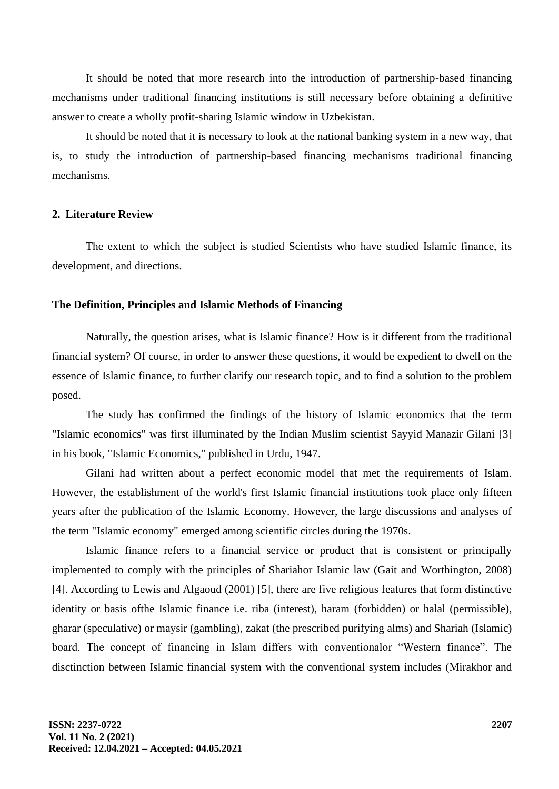It should be noted that more research into the introduction of partnership-based financing mechanisms under traditional financing institutions is still necessary before obtaining a definitive answer to create a wholly profit-sharing Islamic window in Uzbekistan.

It should be noted that it is necessary to look at the national banking system in a new way, that is, to study the introduction of partnership-based financing mechanisms traditional financing mechanisms.

### **2. Literature Review**

The extent to which the subject is studied Scientists who have studied Islamic finance, its development, and directions.

#### **The Definition, Principles and Islamic Methods of Financing**

Naturally, the question arises, what is Islamic finance? How is it different from the traditional financial system? Of course, in order to answer these questions, it would be expedient to dwell on the essence of Islamic finance, to further clarify our research topic, and to find a solution to the problem posed.

The study has confirmed the findings of the history of Islamic economics that the term "Islamic economics" was first illuminated by the Indian Muslim scientist Sayyid Manazir Gilani [3] in his book, "Islamic Economics," published in Urdu, 1947.

Gilani had written about a perfect economic model that met the requirements of Islam. However, the establishment of the world's first Islamic financial institutions took place only fifteen years after the publication of the Islamic Economy. However, the large discussions and analyses of the term "Islamic economy" emerged among scientific circles during the 1970s.

Islamic finance refers to a financial service or product that is consistent or principally implemented to comply with the principles of Shariahor Islamic law (Gait and Worthington, 2008) [4]. According to Lewis and Algaoud (2001) [5], there are five religious features that form distinctive identity or basis ofthe Islamic finance i.e. riba (interest), haram (forbidden) or halal (permissible), gharar (speculative) or maysir (gambling), zakat (the prescribed purifying alms) and Shariah (Islamic) board. The concept of financing in Islam differs with conventionalor "Western finance". The disctinction between Islamic financial system with the conventional system includes (Mirakhor and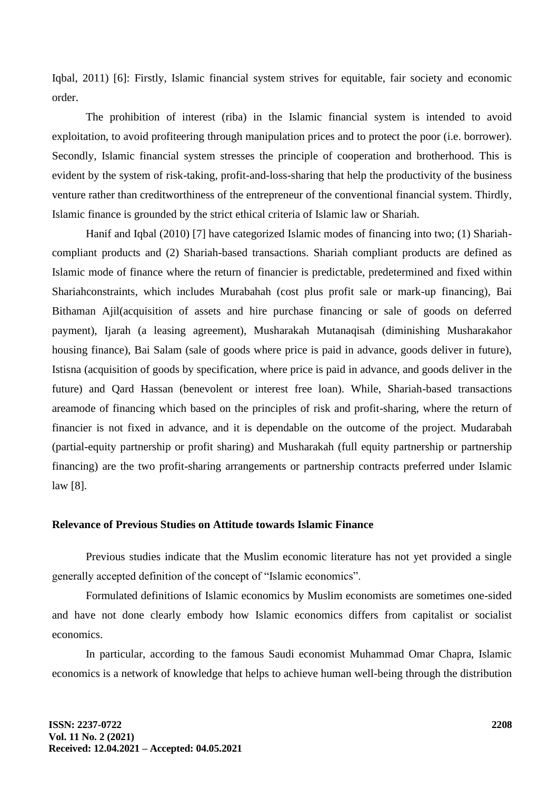Iqbal, 2011) [6]: Firstly, Islamic financial system strives for equitable, fair society and economic order.

The prohibition of interest (riba) in the Islamic financial system is intended to avoid exploitation, to avoid profiteering through manipulation prices and to protect the poor (i.e. borrower). Secondly, Islamic financial system stresses the principle of cooperation and brotherhood. This is evident by the system of risk-taking, profit-and-loss-sharing that help the productivity of the business venture rather than creditworthiness of the entrepreneur of the conventional financial system. Thirdly, Islamic finance is grounded by the strict ethical criteria of Islamic law or Shariah.

Hanif and Iqbal (2010) [7] have categorized Islamic modes of financing into two; (1) Shariahcompliant products and (2) Shariah-based transactions. Shariah compliant products are defined as Islamic mode of finance where the return of financier is predictable, predetermined and fixed within Shariahconstraints, which includes Murabahah (cost plus profit sale or mark-up financing), Bai Bithaman Ajil(acquisition of assets and hire purchase financing or sale of goods on deferred payment), Ijarah (a leasing agreement), Musharakah Mutanaqisah (diminishing Musharakahor housing finance), Bai Salam (sale of goods where price is paid in advance, goods deliver in future), Istisna (acquisition of goods by specification, where price is paid in advance, and goods deliver in the future) and Qard Hassan (benevolent or interest free loan). While, Shariah-based transactions areamode of financing which based on the principles of risk and profit-sharing, where the return of financier is not fixed in advance, and it is dependable on the outcome of the project. Mudarabah (partial-equity partnership or profit sharing) and Musharakah (full equity partnership or partnership financing) are the two profit-sharing arrangements or partnership contracts preferred under Islamic law [8].

#### **Relevance of Previous Studies on Attitude towards Islamic Finance**

Previous studies indicate that the Muslim economic literature has not yet provided a single generally accepted definition of the concept of "Islamic economics".

Formulated definitions of Islamic economics by Muslim economists are sometimes one-sided and have not done clearly embody how Islamic economics differs from capitalist or socialist economics.

In particular, according to the famous Saudi economist Muhammad Omar Chapra, Islamic economics is a network of knowledge that helps to achieve human well-being through the distribution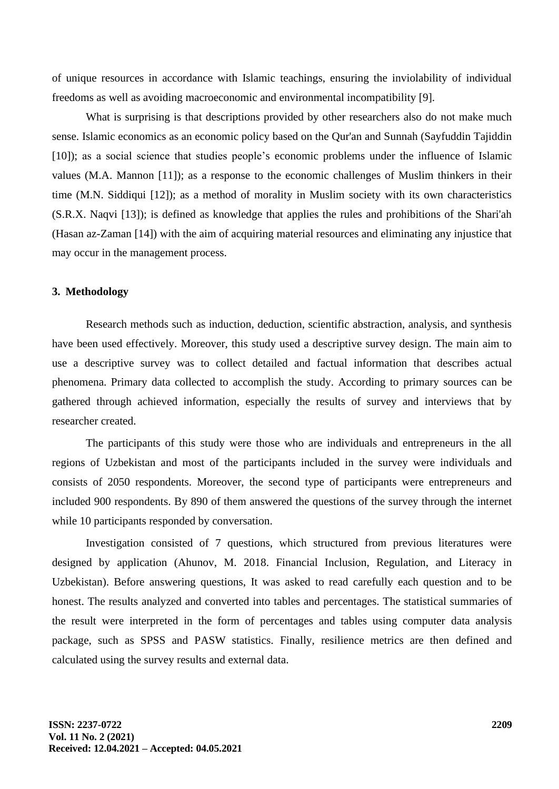of unique resources in accordance with Islamic teachings, ensuring the inviolability of individual freedoms as well as avoiding macroeconomic and environmental incompatibility [9].

What is surprising is that descriptions provided by other researchers also do not make much sense. Islamic economics as an economic policy based on the Qur'an and Sunnah (Sayfuddin Tajiddin [10]); as a social science that studies people's economic problems under the influence of Islamic values (M.A. Mannon [11]); as a response to the economic challenges of Muslim thinkers in their time (M.N. Siddiqui [12]); as a method of morality in Muslim society with its own characteristics (S.R.X. Naqvi [13]); is defined as knowledge that applies the rules and prohibitions of the Shari'ah (Hasan az-Zaman [14]) with the aim of acquiring material resources and eliminating any injustice that may occur in the management process.

### **3. Methodology**

Research methods such as induction, deduction, scientific abstraction, analysis, and synthesis have been used effectively. Moreover, this study used a descriptive survey design. The main aim to use a descriptive survey was to collect detailed and factual information that describes actual phenomena. Primary data collected to accomplish the study. According to primary sources can be gathered through achieved information, especially the results of survey and interviews that by researcher created.

The participants of this study were those who are individuals and entrepreneurs in the all regions of Uzbekistan and most of the participants included in the survey were individuals and consists of 2050 respondents. Moreover, the second type of participants were entrepreneurs and included 900 respondents. By 890 of them answered the questions of the survey through the internet while 10 participants responded by conversation.

Investigation consisted of 7 questions, which structured from previous literatures were designed by application (Ahunov, M. 2018. Financial Inclusion, Regulation, and Literacy in Uzbekistan). Before answering questions, It was asked to read carefully each question and to be honest. The results analyzed and converted into tables and percentages. The statistical summaries of the result were interpreted in the form of percentages and tables using computer data analysis package, such as SPSS and PASW statistics. Finally, resilience metrics are then defined and calculated using the survey results and external data.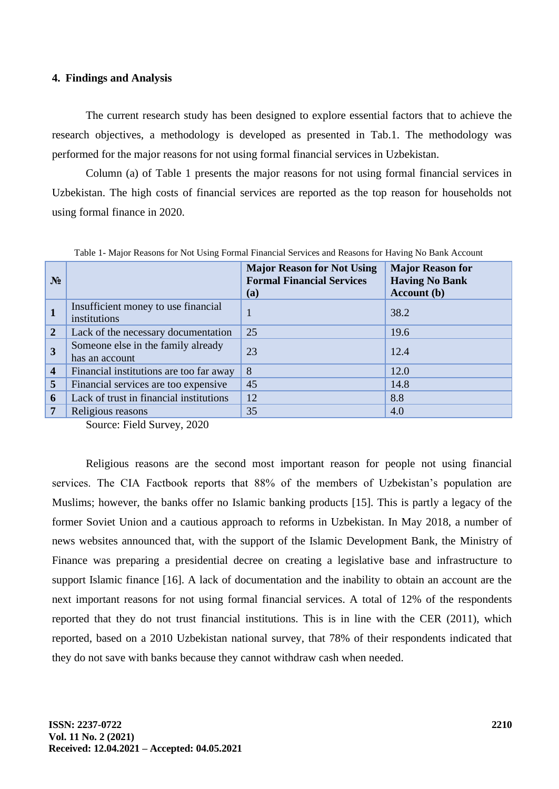#### **4. Findings and Analysis**

The current research study has been designed to explore essential factors that to achieve the research objectives, a methodology is developed as presented in Tab.1. The methodology was performed for the major reasons for not using formal financial services in Uzbekistan.

Column (a) of Table 1 presents the major reasons for not using formal financial services in Uzbekistan. The high costs of financial services are reported as the top reason for households not using formal finance in 2020.

| $N_2$                   |                                                      | <b>Major Reason for Not Using</b><br><b>Formal Financial Services</b><br>(a) | <b>Major Reason for</b><br><b>Having No Bank</b><br><b>Account</b> (b) |
|-------------------------|------------------------------------------------------|------------------------------------------------------------------------------|------------------------------------------------------------------------|
|                         | Insufficient money to use financial<br>institutions  | 1                                                                            | 38.2                                                                   |
| $\overline{2}$          | Lack of the necessary documentation                  | 25                                                                           | 19.6                                                                   |
| $\overline{3}$          | Someone else in the family already<br>has an account | 23                                                                           | 12.4                                                                   |
| $\overline{\mathbf{4}}$ | Financial institutions are too far away              | 8                                                                            | 12.0                                                                   |
| 5                       | Financial services are too expensive                 | 45                                                                           | 14.8                                                                   |
| 6                       | Lack of trust in financial institutions              | 12                                                                           | 8.8                                                                    |
| 7                       | Religious reasons                                    | 35                                                                           | 4.0                                                                    |

Table 1- Major Reasons for Not Using Formal Financial Services and Reasons for Having No Bank Account

Source: Field Survey, 2020

Religious reasons are the second most important reason for people not using financial services. The CIA Factbook reports that 88% of the members of Uzbekistan's population are Muslims; however, the banks offer no Islamic banking products [15]. This is partly a legacy of the former Soviet Union and a cautious approach to reforms in Uzbekistan. In May 2018, a number of news websites announced that, with the support of the Islamic Development Bank, the Ministry of Finance was preparing a presidential decree on creating a legislative base and infrastructure to support Islamic finance [16]. A lack of documentation and the inability to obtain an account are the next important reasons for not using formal financial services. A total of 12% of the respondents reported that they do not trust financial institutions. This is in line with the CER (2011), which reported, based on a 2010 Uzbekistan national survey, that 78% of their respondents indicated that they do not save with banks because they cannot withdraw cash when needed.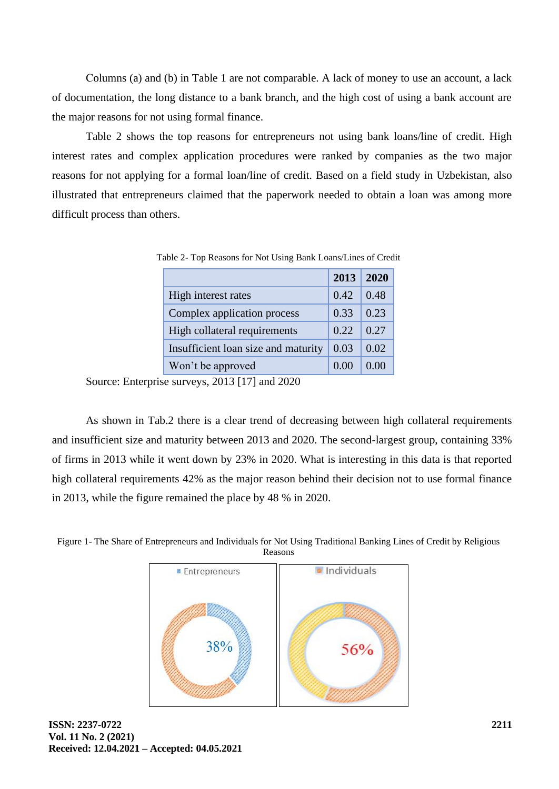Сolumns (a) and (b) in Table 1 are not comparable. A lack of money to use an account, a lack of documentation, the long distance to a bank branch, and the high cost of using a bank account are the major reasons for not using formal finance.

Table 2 shows the top reasons for entrepreneurs not using bank loans/line of credit. High interest rates and complex application procedures were ranked by companies as the two major reasons for not applying for a formal loan/line of credit. Based on a field study in Uzbekistan, also illustrated that entrepreneurs claimed that the paperwork needed to obtain a loan was among more difficult process than others.

|                                     | 2013 | 2020 |
|-------------------------------------|------|------|
| High interest rates                 | 0.42 | 0.48 |
| Complex application process         | 0.33 | 0.23 |
| High collateral requirements        | 0.22 | 0.27 |
| Insufficient loan size and maturity | 0.03 | 0.02 |
| Won't be approved                   |      |      |

Table 2- Top Reasons for Not Using Bank Loans/Lines of Credit

Source: Enterprise surveys, 2013 [17] and 2020

As shown in Tab.2 there is a clear trend of decreasing between high collateral requirements and insufficient size and maturity between 2013 and 2020. The second-largest group, containing 33% of firms in 2013 while it went down by 23% in 2020. What is interesting in this data is that reported high collateral requirements 42% as the major reason behind their decision not to use formal finance in 2013, while the figure remained the place by 48 % in 2020.



Figure 1- The Share of Entrepreneurs and Individuals for Not Using Traditional Banking Lines of Credit by Religious Reasons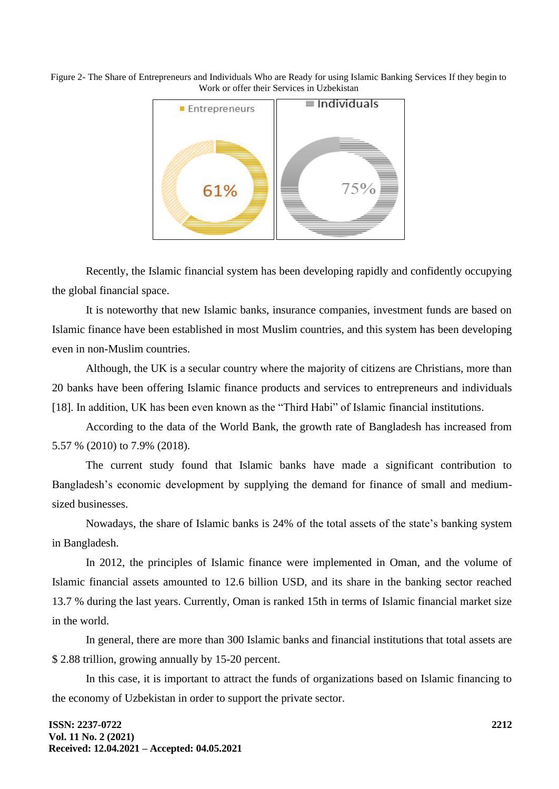Figure 2- The Share of Entrepreneurs and Individuals Who are Ready for using Islamic Banking Services If they begin to Work or offer their Services in Uzbekistan



Recently, the Islamic financial system has been developing rapidly and confidently occupying the global financial space.

It is noteworthy that new Islamic banks, insurance companies, investment funds are based on Islamic finance have been established in most Muslim countries, and this system has been developing even in non-Muslim countries.

Although, the UK is a secular country where the majority of citizens are Christians, more than 20 banks have been offering Islamic finance products and services to entrepreneurs and individuals [18]. In addition, UK has been even known as the "Third Habi" of Islamic financial institutions.

According to the data of the World Bank, the growth rate of Bangladesh has increased from 5.57 % (2010) to 7.9% (2018).

The current study found that Islamic banks have made a significant contribution to Bangladesh's economic development by supplying the demand for finance of small and mediumsized businesses.

Nowadays, the share of Islamic banks is 24% of the total assets of the state's banking system in Bangladesh.

In 2012, the principles of Islamic finance were implemented in Oman, and the volume of Islamic financial assets amounted to 12.6 billion USD, and its share in the banking sector reached 13.7 % during the last years. Currently, Oman is ranked 15th in terms of Islamic financial market size in the world.

In general, there are more than 300 Islamic banks and financial institutions that total assets are \$ 2.88 trillion, growing annually by 15-20 percent.

In this case, it is important to attract the funds of organizations based on Islamic financing to the economy of Uzbekistan in order to support the private sector.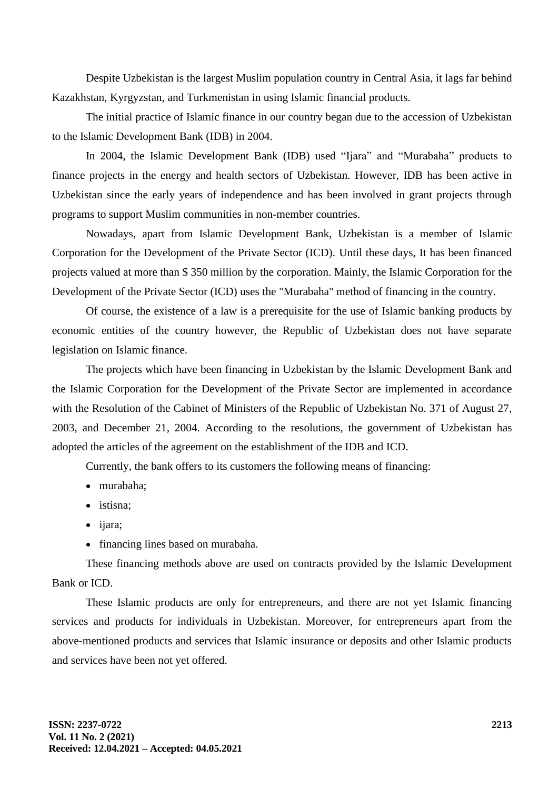Despite Uzbekistan is the largest Muslim population country in Central Asia, it lags far behind Kazakhstan, Kyrgyzstan, and Turkmenistan in using Islamic financial products.

The initial practice of Islamic finance in our country began due to the accession of Uzbekistan to the Islamic Development Bank (IDB) in 2004.

In 2004, the Islamic Development Bank (IDB) used "Ijara" and "Murabaha" products to finance projects in the energy and health sectors of Uzbekistan. However, IDB has been active in Uzbekistan since the early years of independence and has been involved in grant projects through programs to support Muslim communities in non-member countries.

Nowadays, apart from Islamic Development Bank, Uzbekistan is a member of Islamic Corporation for the Development of the Private Sector (ICD). Until these days, It has been financed projects valued at more than \$ 350 million by the corporation. Mainly, the Islamic Corporation for the Development of the Private Sector (ICD) uses the "Murabaha" method of financing in the country.

Of course, the existence of a law is a prerequisite for the use of Islamic banking products by economic entities of the country however, the Republic of Uzbekistan does not have separate legislation on Islamic finance.

The projects which have been financing in Uzbekistan by the Islamic Development Bank and the Islamic Corporation for the Development of the Private Sector are implemented in accordance with the Resolution of the Cabinet of Ministers of the Republic of Uzbekistan No. 371 of August 27, 2003, and December 21, 2004. According to the resolutions, the government of Uzbekistan has adopted the articles of the agreement on the establishment of the IDB and ICD.

Currently, the bank offers to its customers the following means of financing:

- murabaha;
- istisna:
- ijara;
- financing lines based on murabaha.

These financing methods above are used on contracts provided by the Islamic Development Bank or ICD.

These Islamic products are only for entrepreneurs, and there are not yet Islamic financing services and products for individuals in Uzbekistan. Moreover, for entrepreneurs apart from the above-mentioned products and services that Islamic insurance or deposits and other Islamic products and services have been not yet offered.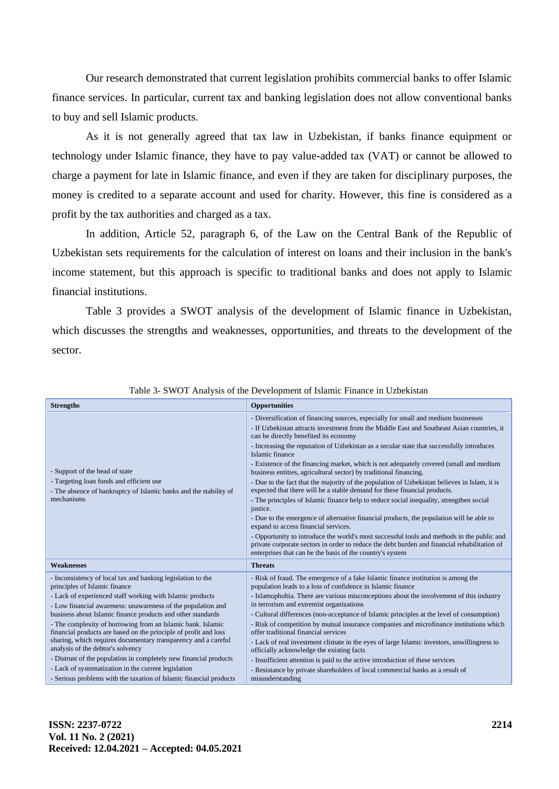Our research demonstrated that current legislation prohibits commercial banks to offer Islamic finance services. In particular, current tax and banking legislation does not allow conventional banks to buy and sell Islamic products.

As it is not generally agreed that tax law in Uzbekistan, if banks finance equipment or technology under Islamic finance, they have to pay value-added tax (VAT) or cannot be allowed to charge a payment for late in Islamic finance, and even if they are taken for disciplinary purposes, the money is credited to a separate account and used for charity. However, this fine is considered as a profit by the tax authorities and charged as a tax.

In addition, Article 52, paragraph 6, of the Law on the Central Bank of the Republic of Uzbekistan sets requirements for the calculation of interest on loans and their inclusion in the bank's income statement, but this approach is specific to traditional banks and does not apply to Islamic financial institutions.

Table 3 provides a SWOT analysis of the development of Islamic finance in Uzbekistan, which discusses the strengths and weaknesses, opportunities, and threats to the development of the sector.

| <b>Strengths</b>                                                                                                                                                                                                                                                                                                                                                                                                                                                                                                                                                                                                                                                                                                                      | <b>Opportunities</b>                                                                                                                                                                                                                                                                                                                                                                                                                                                                                                                                                                                                                                                                                                                                                                                                                                                                                                                                                                                                                                                                                                           |  |  |  |
|---------------------------------------------------------------------------------------------------------------------------------------------------------------------------------------------------------------------------------------------------------------------------------------------------------------------------------------------------------------------------------------------------------------------------------------------------------------------------------------------------------------------------------------------------------------------------------------------------------------------------------------------------------------------------------------------------------------------------------------|--------------------------------------------------------------------------------------------------------------------------------------------------------------------------------------------------------------------------------------------------------------------------------------------------------------------------------------------------------------------------------------------------------------------------------------------------------------------------------------------------------------------------------------------------------------------------------------------------------------------------------------------------------------------------------------------------------------------------------------------------------------------------------------------------------------------------------------------------------------------------------------------------------------------------------------------------------------------------------------------------------------------------------------------------------------------------------------------------------------------------------|--|--|--|
| - Support of the head of state<br>- Targeting loan funds and efficient use<br>- The absence of bankruptcy of Islamic banks and the stability of<br>mechanisms                                                                                                                                                                                                                                                                                                                                                                                                                                                                                                                                                                         | - Diversification of financing sources, especially for small and medium businesses<br>- If Uzbekistan attracts investment from the Middle East and Southeast Asian countries, it<br>can be directly benefited its economy<br>- Increasing the reputation of Uzbekistan as a secular state that successfully introduces<br>Islamic finance<br>- Existence of the financing market, which is not adequately covered (small and medium<br>business entities, agricultural sector) by traditional financing.<br>- Due to the fact that the majority of the population of Uzbekistan believes in Islam, it is<br>expected that there will be a stable demand for these financial products.<br>- The principles of Islamic finance help to reduce social inequality, strengthen social<br>justice.<br>- Due to the emergence of alternative financial products, the population will be able to<br>expand to access financial services.<br>- Opportunity to introduce the world's most successful tools and methods in the public and<br>private corporate sectors in order to reduce the debt burden and financial rehabilitation of |  |  |  |
| <b>Weaknesses</b>                                                                                                                                                                                                                                                                                                                                                                                                                                                                                                                                                                                                                                                                                                                     | <b>Threats</b>                                                                                                                                                                                                                                                                                                                                                                                                                                                                                                                                                                                                                                                                                                                                                                                                                                                                                                                                                                                                                                                                                                                 |  |  |  |
| - Inconsistency of local tax and banking legislation to the<br>principles of Islamic finance<br>- Lack of experienced staff working with Islamic products<br>- Low financial awareness: unawareness of the population and<br>business about Islamic finance products and other standards<br>- The complexity of borrowing from an Islamic bank. Islamic<br>financial products are based on the principle of profit and loss<br>sharing, which requires documentary transparency and a careful<br>analysis of the debtor's solvency<br>- Distrust of the population in completely new financial products<br>- Lack of systematization in the current legislation<br>- Serious problems with the taxation of Islamic financial products | - Risk of fraud. The emergence of a fake Islamic finance institution is among the<br>population leads to a loss of confidence in Islamic finance<br>- Islamophobia. There are various misconceptions about the involvement of this industry<br>in terrorism and extremist organizations<br>- Cultural differences (non-acceptance of Islamic principles at the level of consumption)<br>- Risk of competition by mutual insurance companies and microfinance institutions which<br>offer traditional financial services<br>- Lack of real investment climate in the eyes of large Islamic investors, unwillingness to<br>officially acknowledge the existing facts<br>- Insufficient attention is paid to the active introduction of these services<br>- Resistance by private shareholders of local commercial banks as a result of<br>misunderstanding                                                                                                                                                                                                                                                                       |  |  |  |

Table 3- SWOT Analysis of the Development of Islamic Finance in Uzbekistan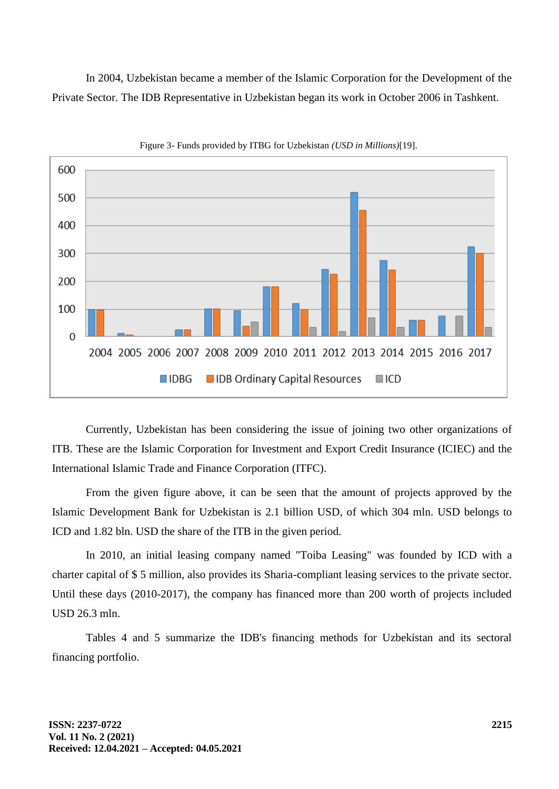In 2004, Uzbekistan became a member of the Islamic Corporation for the Development of the Private Sector. The IDB Representative in Uzbekistan began its work in October 2006 in Tashkent.



Figure 3- Funds provided by ITBG for Uzbekistan *(USD in Millions)*[19].

Currently, Uzbekistan has been considering the issue of joining two other organizations of ITB. These are the Islamic Corporation for Investment and Export Credit Insurance (ICIEC) and the International Islamic Trade and Finance Corporation (ITFC).

From the given figure above, it can be seen that the amount of projects approved by the Islamic Development Bank for Uzbekistan is 2.1 billion USD, of which 304 mln. USD belongs to ICD and 1.82 bln. USD the share of the ITB in the given period.

In 2010, an initial leasing company named "Toiba Leasing" was founded by ICD with a charter capital of \$ 5 million, also provides its Sharia-compliant leasing services to the private sector. Until these days (2010-2017), the company has financed more than 200 worth of projects included USD 26.3 mln.

Tables 4 and 5 summarize the IDB's financing methods for Uzbekistan and its sectoral financing portfolio.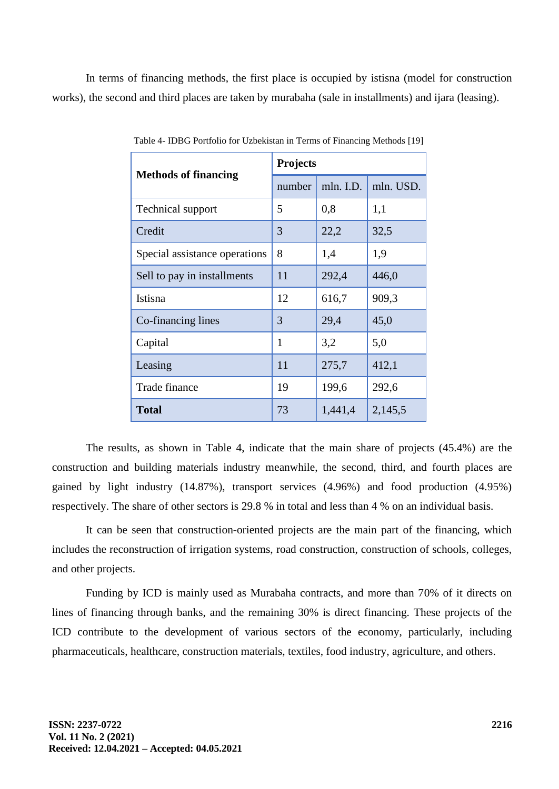In terms of financing methods, the first place is occupied by istisna (model for construction works), the second and third places are taken by murabaha (sale in installments) and ijara (leasing).

| <b>Methods of financing</b>   | <b>Projects</b> |           |           |  |  |
|-------------------------------|-----------------|-----------|-----------|--|--|
|                               | number          | mln. I.D. | mln. USD. |  |  |
| <b>Technical support</b>      | 5               | 0,8       | 1,1       |  |  |
| Credit                        | 3               | 22,2      | 32,5      |  |  |
| Special assistance operations | 8               | 1,4       | 1,9       |  |  |
| Sell to pay in installments   | 11              | 292,4     | 446,0     |  |  |
| Istisna                       | 12              | 616,7     | 909,3     |  |  |
| Co-financing lines            | 3               | 29,4      | 45,0      |  |  |
| Capital                       | 1               | 3,2       | 5,0       |  |  |
| Leasing                       | 11              | 275,7     | 412,1     |  |  |
| Trade finance                 | 19              | 199,6     | 292,6     |  |  |
| <b>Total</b>                  | 73              | 1,441,4   | 2,145,5   |  |  |

Table 4- IDBG Portfolio for Uzbekistan in Terms of Financing Methods [19]

The results, as shown in Table 4, indicate that the main share of projects (45.4%) are the construction and building materials industry meanwhile, the second, third, and fourth places are gained by light industry (14.87%), transport services (4.96%) and food production (4.95%) respectively. The share of other sectors is 29.8 % in total and less than 4 % on an individual basis.

It can be seen that construction-oriented projects are the main part of the financing, which includes the reconstruction of irrigation systems, road construction, construction of schools, colleges, and other projects.

Funding by ICD is mainly used as Murabaha contracts, and more than 70% of it directs on lines of financing through banks, and the remaining 30% is direct financing. These projects of the ICD contribute to the development of various sectors of the economy, particularly, including pharmaceuticals, healthcare, construction materials, textiles, food industry, agriculture, and others.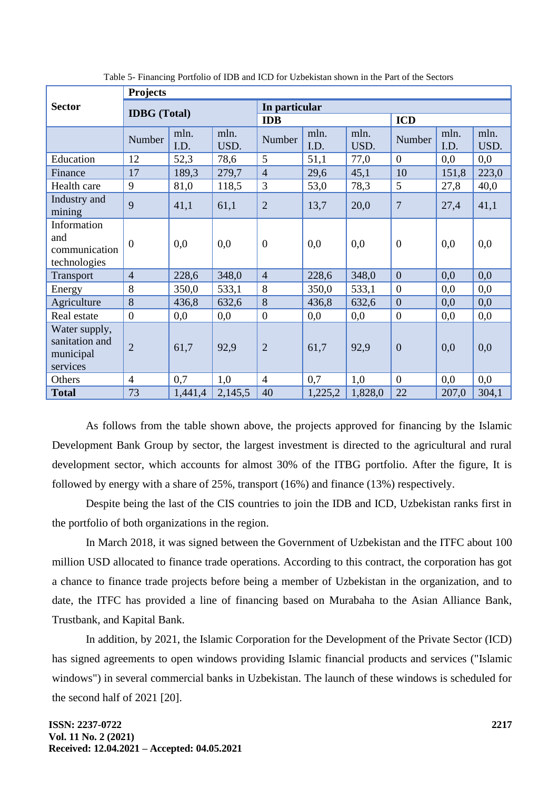|                                                          | <b>Projects</b>     |              |               |                  |              |              |                  |              |              |
|----------------------------------------------------------|---------------------|--------------|---------------|------------------|--------------|--------------|------------------|--------------|--------------|
| <b>Sector</b>                                            | <b>IDBG</b> (Total) |              | In particular |                  |              |              |                  |              |              |
|                                                          |                     |              | IDB           |                  |              | <b>ICD</b>   |                  |              |              |
|                                                          | Number              | mln.<br>I.D. | mln.<br>USD.  | Number           | mln.<br>I.D. | mln.<br>USD. | Number           | mln.<br>I.D. | mln.<br>USD. |
| Education                                                | 12                  | 52,3         | 78,6          | 5                | 51,1         | 77,0         | $\theta$         | 0,0          | 0,0          |
| Finance                                                  | 17                  | 189,3        | 279,7         | $\overline{4}$   | 29,6         | 45,1         | 10               | 151,8        | 223,0        |
| Health care                                              | 9                   | 81,0         | 118,5         | 3                | 53,0         | 78,3         | 5                | 27,8         | 40,0         |
| Industry and<br>mining                                   | 9                   | 41,1         | 61,1          | $\overline{2}$   | 13,7         | 20,0         | $\overline{7}$   | 27,4         | 41,1         |
| Information<br>and<br>communication<br>technologies      | $\theta$            | 0,0          | 0,0           | $\overline{0}$   | 0,0          | 0,0          | $\overline{0}$   | 0,0          | 0,0          |
| Transport                                                | $\overline{4}$      | 228,6        | 348,0         | $\overline{4}$   | 228,6        | 348,0        | $\overline{0}$   | 0,0          | 0,0          |
| Energy                                                   | 8                   | 350,0        | 533,1         | 8                | 350,0        | 533,1        | $\overline{0}$   | 0,0          | 0,0          |
| Agriculture                                              | 8                   | 436,8        | 632,6         | 8                | 436,8        | 632,6        | $\overline{0}$   | 0,0          | 0,0          |
| Real estate                                              | $\boldsymbol{0}$    | 0,0          | 0,0           | $\boldsymbol{0}$ | 0,0          | 0,0          | $\boldsymbol{0}$ | 0,0          | 0,0          |
| Water supply,<br>sanitation and<br>municipal<br>services | $\overline{2}$      | 61,7         | 92,9          | $\overline{2}$   | 61,7         | 92,9         | $\overline{0}$   | 0,0          | 0,0          |
| Others                                                   | $\overline{4}$      | 0,7          | 1,0           | $\overline{4}$   | 0,7          | 1,0          | $\overline{0}$   | 0,0          | 0,0          |
| <b>Total</b>                                             | 73                  | 1,441,4      | 2,145,5       | 40               | 1,225,2      | 1,828,0      | 22               | 207,0        | 304,1        |

Table 5- Financing Portfolio of IDB and ICD for Uzbekistan shown in the Part of the Sectors

As follows from the table shown above, the projects approved for financing by the Islamic Development Bank Group by sector, the largest investment is directed to the agricultural and rural development sector, which accounts for almost 30% of the ITBG portfolio. After the figure, It is followed by energy with a share of 25%, transport (16%) and finance (13%) respectively.

Despite being the last of the CIS countries to join the IDB and ICD, Uzbekistan ranks first in the portfolio of both organizations in the region.

In March 2018, it was signed between the Government of Uzbekistan and the ITFC about 100 million USD allocated to finance trade operations. According to this contract, the corporation has got a chance to finance trade projects before being a member of Uzbekistan in the organization, and to date, the ITFC has provided a line of financing based on Murabaha to the Asian Alliance Bank, Trustbank, and Kapital Bank.

In addition, by 2021, the Islamic Corporation for the Development of the Private Sector (ICD) has signed agreements to open windows providing Islamic financial products and services ("Islamic windows") in several commercial banks in Uzbekistan. The launch of these windows is scheduled for the second half of 2021 [20].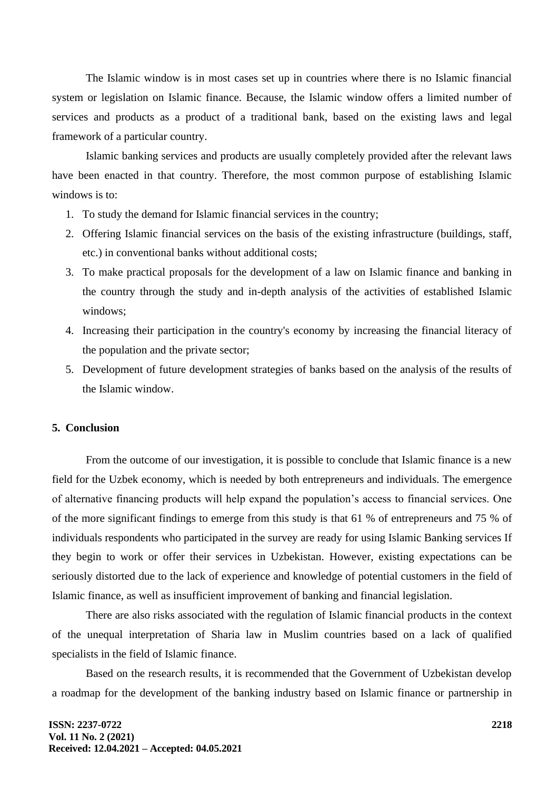The Islamic window is in most cases set up in countries where there is no Islamic financial system or legislation on Islamic finance. Because, the Islamic window offers a limited number of services and products as a product of a traditional bank, based on the existing laws and legal framework of a particular country.

Islamic banking services and products are usually completely provided after the relevant laws have been enacted in that country. Therefore, the most common purpose of establishing Islamic windows is to:

- 1. To study the demand for Islamic financial services in the country;
- 2. Offering Islamic financial services on the basis of the existing infrastructure (buildings, staff, etc.) in conventional banks without additional costs;
- 3. To make practical proposals for the development of a law on Islamic finance and banking in the country through the study and in-depth analysis of the activities of established Islamic windows;
- 4. Increasing their participation in the country's economy by increasing the financial literacy of the population and the private sector;
- 5. Development of future development strategies of banks based on the analysis of the results of the Islamic window.

### **5. Conclusion**

From the outcome of our investigation, it is possible to conclude that Islamic finance is a new field for the Uzbek economy, which is needed by both entrepreneurs and individuals. The emergence of alternative financing products will help expand the population's access to financial services. One of the more significant findings to emerge from this study is that 61 % of entrepreneurs and 75 % of individuals respondents who participated in the survey are ready for using Islamic Banking services If they begin to work or offer their services in Uzbekistan. However, existing expectations can be seriously distorted due to the lack of experience and knowledge of potential customers in the field of Islamic finance, as well as insufficient improvement of banking and financial legislation.

There are also risks associated with the regulation of Islamic financial products in the context of the unequal interpretation of Sharia law in Muslim countries based on a lack of qualified specialists in the field of Islamic finance.

Based on the research results, it is recommended that the Government of Uzbekistan develop a roadmap for the development of the banking industry based on Islamic finance or partnership in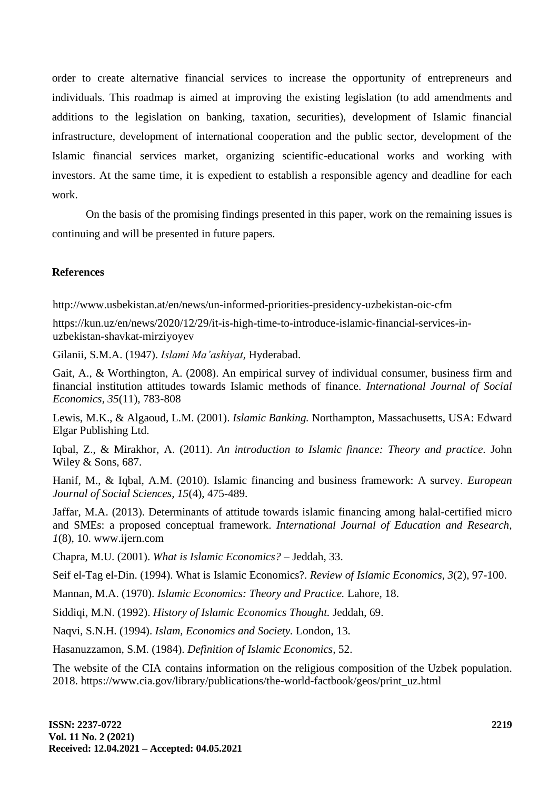order to create alternative financial services to increase the opportunity of entrepreneurs and individuals. This roadmap is aimed at improving the existing legislation (to add amendments and additions to the legislation on banking, taxation, securities), development of Islamic financial infrastructure, development of international cooperation and the public sector, development of the Islamic financial services market, organizing scientific-educational works and working with investors. At the same time, it is expedient to establish a responsible agency and deadline for each work.

On the basis of the promising findings presented in this paper, work on the remaining issues is continuing and will be presented in future papers.

## **References**

http://www.usbekistan.at/en/news/un-informed-priorities-presidency-uzbekistan-oic-cfm

https://kun.uz/en/news/2020/12/29/it-is-high-time-to-introduce-islamic-financial-services-inuzbekistan-shavkat-mirziyoyev

Gilanii, S.M.A. (1947). *Islami Ma'ashiyat,* Hyderabad.

Gait, A., & Worthington, A. (2008). An empirical survey of individual consumer, business firm and financial institution attitudes towards Islamic methods of finance. *International Journal of Social Economics, 35*(11), 783-808

Lewis, M.K., & Algaoud, L.M. (2001). *Islamic Banking.* Northampton, Massachusetts, USA: Edward Elgar Publishing Ltd.

Iqbal, Z., & Mirakhor, A. (2011). *An introduction to Islamic finance: Theory and practice.* John Wiley & Sons, 687.

Hanif, M., & Iqbal, A.M. (2010). Islamic financing and business framework: A survey. *European Journal of Social Sciences, 15*(4), 475-489.

Jaffar, M.A. (2013). Determinants of attitude towards islamic financing among halal-certified micro and SMEs: a proposed conceptual framework. *International Journal of Education and Research, 1*(8), 10. www.ijern.com

Chapra, M.U. (2001). *What is Islamic Economics?* – Jeddah, 33.

Seif el-Tag el-Din. (1994). What is Islamic Economics?. *Review of Islamic Economics, 3*(2), 97-100.

Mannan, M.A. (1970). *Islamic Economics: Theory and Practice.* Lahore, 18.

Siddiqi, M.N. (1992). *History of Islamic Economics Thought.* Jeddah, 69.

Naqvi, S.N.H. (1994). *Islam, Economics and Society.* London, 13.

Hasanuzzamon, S.M. (1984). *Definition of Islamic Economics,* 52.

The website of the CIA contains information on the religious composition of the Uzbek population. 2018. https://www.cia.gov/library/publications/the-world-factbook/geos/print\_uz.html